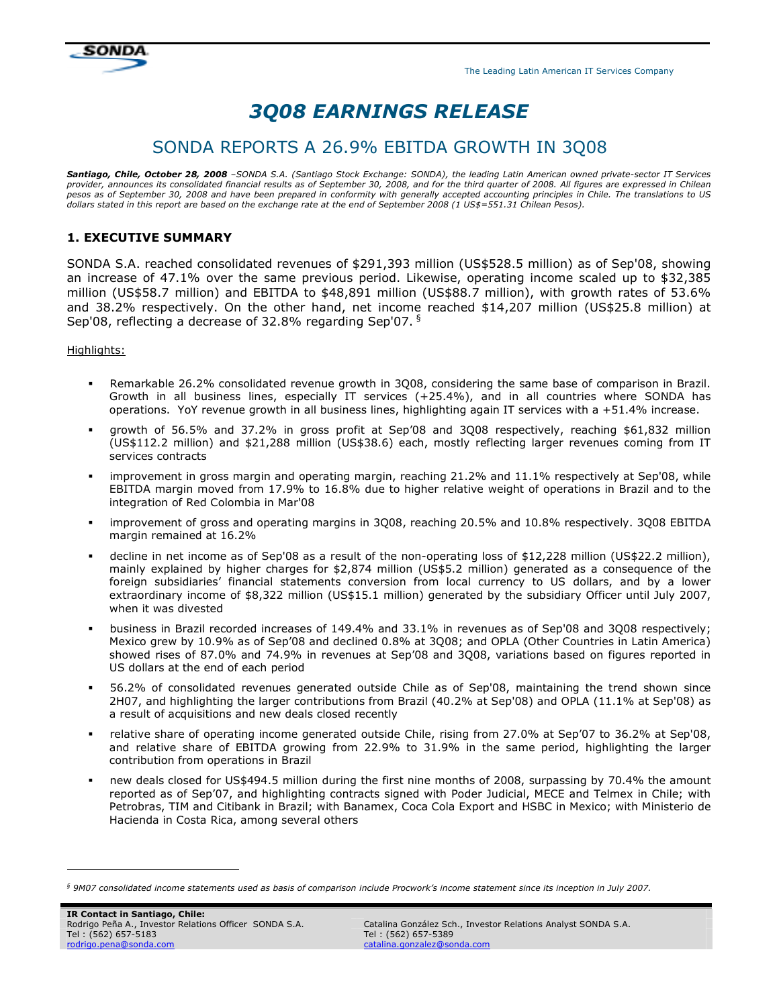

# 3Q08 EARNINGS RELEASE

# SONDA REPORTS A 26.9% EBITDA GROWTH IN 3Q08

Santiago, Chile, October 28, 2008 *–SONDA S.A. (Santiago Stock Exchange: SONDA), the leading Latin American owned private-sector IT Services provider, announces its consolidated financial results as of September 30, 2008, and for the third quarter of 2008. All figures are expressed in Chilean pesos as of September 30, 2008 and have been prepared in conformity with generally accepted accounting principles in Chile. The translations to US dollars stated in this report are based on the exchange rate at the end of September 2008 (1 US\$=551.31 Chilean Pesos).* 

# 1. EXECUTIVE SUMMARY

SONDA S.A. reached consolidated revenues of \$291,393 million (US\$528.5 million) as of Sep'08, showing an increase of 47.1% over the same previous period. Likewise, operating income scaled up to \$32,385 million (US\$58.7 million) and EBITDA to \$48,891 million (US\$88.7 million), with growth rates of 53.6% and 38.2% respectively. On the other hand, net income reached \$14,207 million (US\$25.8 million) at Sep'08, reflecting a decrease of 32.8% regarding Sep'07.  $§$ 

Highlights:

- Remarkable 26.2% consolidated revenue growth in 3Q08, considering the same base of comparison in Brazil. Growth in all business lines, especially IT services (+25.4%), and in all countries where SONDA has operations. YoY revenue growth in all business lines, highlighting again IT services with a +51.4% increase.
- growth of 56.5% and 37.2% in gross profit at Sep'08 and 3Q08 respectively, reaching \$61,832 million (US\$112.2 million) and \$21,288 million (US\$38.6) each, mostly reflecting larger revenues coming from IT services contracts
- improvement in gross margin and operating margin, reaching 21.2% and 11.1% respectively at Sep'08, while EBITDA margin moved from 17.9% to 16.8% due to higher relative weight of operations in Brazil and to the integration of Red Colombia in Mar'08
- improvement of gross and operating margins in 3Q08, reaching 20.5% and 10.8% respectively. 3Q08 EBITDA margin remained at 16.2%
- decline in net income as of Sep'08 as a result of the non-operating loss of \$12,228 million (US\$22.2 million), mainly explained by higher charges for \$2,874 million (US\$5.2 million) generated as a consequence of the foreign subsidiaries' financial statements conversion from local currency to US dollars, and by a lower extraordinary income of \$8,322 million (US\$15.1 million) generated by the subsidiary Officer until July 2007, when it was divested
- business in Brazil recorded increases of 149.4% and 33.1% in revenues as of Sep'08 and 3Q08 respectively; Mexico grew by 10.9% as of Sep'08 and declined 0.8% at 3Q08; and OPLA (Other Countries in Latin America) showed rises of 87.0% and 74.9% in revenues at Sep'08 and 3Q08, variations based on figures reported in US dollars at the end of each period
- 56.2% of consolidated revenues generated outside Chile as of Sep'08, maintaining the trend shown since 2H07, and highlighting the larger contributions from Brazil (40.2% at Sep'08) and OPLA (11.1% at Sep'08) as a result of acquisitions and new deals closed recently
- relative share of operating income generated outside Chile, rising from 27.0% at Sep'07 to 36.2% at Sep'08, and relative share of EBITDA growing from 22.9% to 31.9% in the same period, highlighting the larger contribution from operations in Brazil
- new deals closed for US\$494.5 million during the first nine months of 2008, surpassing by 70.4% the amount reported as of Sep'07, and highlighting contracts signed with Poder Judicial, MECE and Telmex in Chile; with Petrobras, TIM and Citibank in Brazil; with Banamex, Coca Cola Export and HSBC in Mexico; with Ministerio de Hacienda in Costa Rica, among several others

ł

*<sup>§</sup> 9M07 consolidated income statements used as basis of comparison include Procwork's income statement since its inception in July 2007.*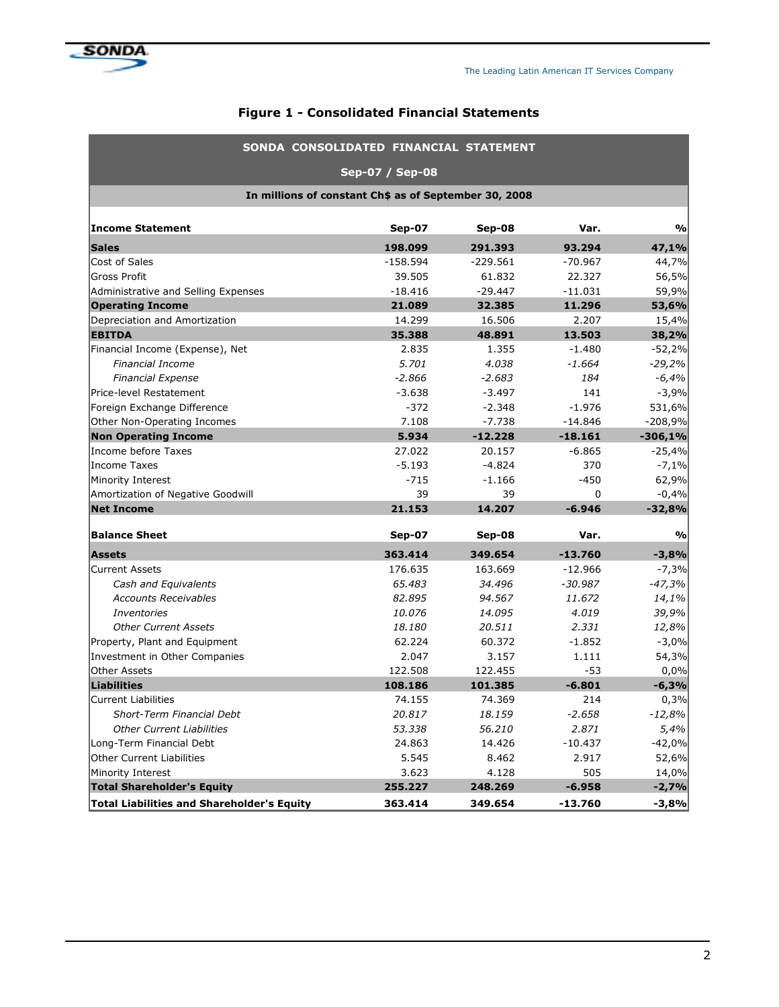

# Figure 1 - Consolidated Financial Statements

| SONDA CONSOLIDATED FINANCIAL STATEMENT                |                 |               |           |               |  |  |  |  |  |
|-------------------------------------------------------|-----------------|---------------|-----------|---------------|--|--|--|--|--|
|                                                       | Sep-07 / Sep-08 |               |           |               |  |  |  |  |  |
| In millions of constant Ch\$ as of September 30, 2008 |                 |               |           |               |  |  |  |  |  |
| Income Statement                                      | <b>Sep-07</b>   | <b>Sep-08</b> | Var.      | $\frac{0}{0}$ |  |  |  |  |  |
| <b>Sales</b>                                          | 198.099         | 291.393       | 93.294    | 47,1%         |  |  |  |  |  |
| Cost of Sales                                         | $-158.594$      | $-229.561$    | $-70.967$ | 44,7%         |  |  |  |  |  |
| <b>Gross Profit</b>                                   | 39.505          | 61.832        | 22.327    | 56,5%         |  |  |  |  |  |
| Administrative and Selling Expenses                   | $-18.416$       | $-29.447$     | $-11.031$ | 59,9%         |  |  |  |  |  |
| <b>Operating Income</b>                               | 21.089          | 32.385        | 11.296    | 53,6%         |  |  |  |  |  |
| Depreciation and Amortization                         | 14.299          | 16.506        | 2.207     | 15,4%         |  |  |  |  |  |
| <b>EBITDA</b>                                         | 35.388          | 48.891        | 13.503    | 38,2%         |  |  |  |  |  |
| Financial Income (Expense), Net                       | 2.835           | 1.355         | $-1.480$  | $-52,2%$      |  |  |  |  |  |
| <b>Financial Income</b>                               | 5.701           | 4.038         | $-1.664$  | $-29,2%$      |  |  |  |  |  |
| <b>Financial Expense</b>                              | $-2.866$        | $-2.683$      | 184       | $-6,4%$       |  |  |  |  |  |
| Price-level Restatement                               | $-3.638$        | $-3.497$      | 141       | $-3,9%$       |  |  |  |  |  |
| Foreign Exchange Difference                           | $-372$          | $-2.348$      | $-1.976$  | 531,6%        |  |  |  |  |  |
| Other Non-Operating Incomes                           | 7.108           | $-7.738$      | $-14.846$ | $-208,9%$     |  |  |  |  |  |
| <b>Non Operating Income</b>                           | 5.934           | $-12.228$     | $-18.161$ | $-306,1%$     |  |  |  |  |  |
| Income before Taxes                                   | 27.022          | 20.157        | $-6.865$  | $-25,4%$      |  |  |  |  |  |
| Income Taxes                                          | $-5.193$        | $-4.824$      | 370       | $-7,1%$       |  |  |  |  |  |
| Minority Interest                                     | $-715$          | $-1.166$      | $-450$    | 62,9%         |  |  |  |  |  |
| Amortization of Negative Goodwill                     | 39              | 39            | 0         | $-0,4%$       |  |  |  |  |  |
| <b>Net Income</b>                                     | 21.153          | 14.207        | $-6.946$  | $-32,8%$      |  |  |  |  |  |
| <b>Balance Sheet</b>                                  | <b>Sep-07</b>   | Sep-08        | Var.      | $\frac{0}{0}$ |  |  |  |  |  |
| <b>Assets</b>                                         | 363.414         | 349.654       | $-13.760$ | $-3,8%$       |  |  |  |  |  |
| <b>Current Assets</b>                                 | 176.635         | 163.669       | $-12.966$ | $-7,3%$       |  |  |  |  |  |
| Cash and Equivalents                                  | 65.483          | 34.496        | $-30.987$ | $-47,3%$      |  |  |  |  |  |
| <b>Accounts Receivables</b>                           | 82.895          | 94.567        | 11.672    | 14,1%         |  |  |  |  |  |
| <i>Inventories</i>                                    | 10.076          | 14.095        | 4.019     | 39,9%         |  |  |  |  |  |
| <b>Other Current Assets</b>                           | 18.180          | 20.511        | 2.331     | 12,8%         |  |  |  |  |  |
| Property, Plant and Equipment                         | 62.224          | 60.372        | $-1.852$  | $-3,0%$       |  |  |  |  |  |
| Investment in Other Companies                         | 2.047           | 3.157         | 1.111     | 54,3%         |  |  |  |  |  |
| Other Assets                                          | 122.508         | 122.455       | $-53$     | 0,0%          |  |  |  |  |  |
| Liabilities                                           | 108.186         | 101.385       | $-6.801$  | $-6,3%$       |  |  |  |  |  |
| <b>Current Liabilities</b>                            | 74.155          | 74.369        | 214       | 0,3%          |  |  |  |  |  |
| Short-Term Financial Debt                             | 20.817          | 18.159        | $-2.658$  | $-12,8%$      |  |  |  |  |  |
| <b>Other Current Liabilities</b>                      | 53.338          | 56.210        | 2.871     | 5,4%          |  |  |  |  |  |
| Long-Term Financial Debt                              | 24.863          | 14.426        | $-10.437$ | $-42,0%$      |  |  |  |  |  |
| Other Current Liabilities                             | 5.545           | 8.462         | 2.917     | 52,6%         |  |  |  |  |  |
| Minority Interest                                     | 3.623           | 4.128         | 505       | 14,0%         |  |  |  |  |  |
| <b>Total Shareholder's Equity</b>                     | 255.227         | 248.269       | $-6.958$  | $-2,7%$       |  |  |  |  |  |
| <b>Total Liabilities and Shareholder's Equity</b>     | 363.414         | 349.654       | $-13.760$ | $-3,8%$       |  |  |  |  |  |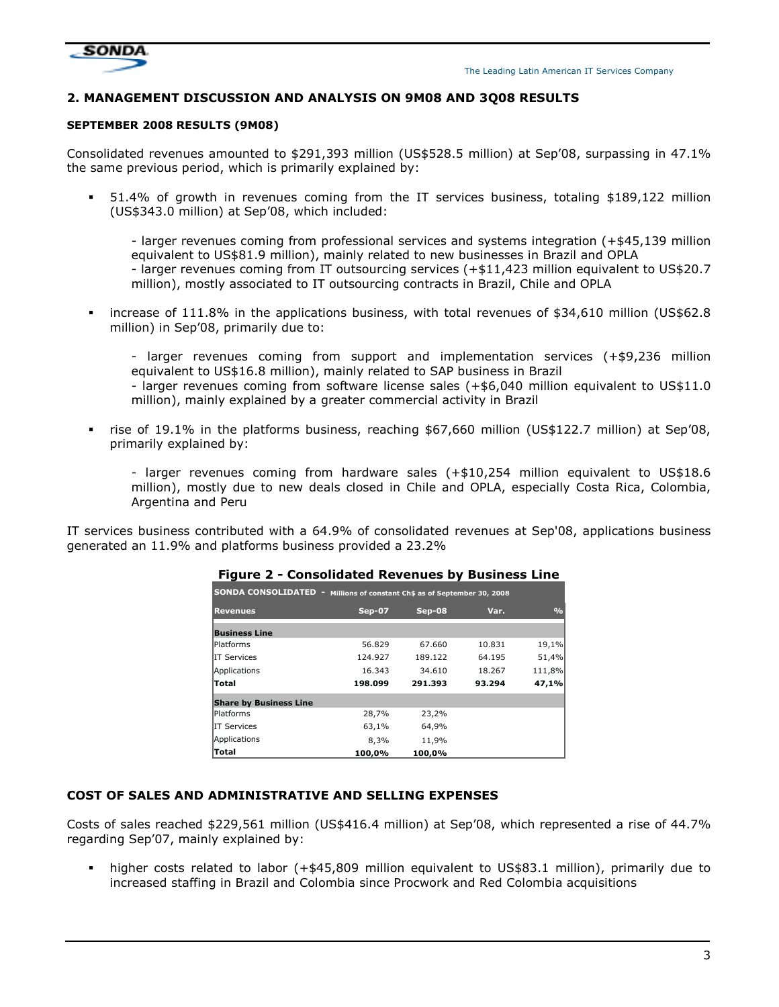

#### 2. MANAGEMENT DISCUSSION AND ANALYSIS ON 9M08 AND 3Q08 RESULTS

#### SEPTEMBER 2008 RESULTS (9M08)

Consolidated revenues amounted to \$291,393 million (US\$528.5 million) at Sep'08, surpassing in 47.1% the same previous period, which is primarily explained by:

 51.4% of growth in revenues coming from the IT services business, totaling \$189,122 million (US\$343.0 million) at Sep'08, which included:

- larger revenues coming from professional services and systems integration (+\$45,139 million equivalent to US\$81.9 million), mainly related to new businesses in Brazil and OPLA - larger revenues coming from IT outsourcing services (+\$11,423 million equivalent to US\$20.7 million), mostly associated to IT outsourcing contracts in Brazil, Chile and OPLA

 increase of 111.8% in the applications business, with total revenues of \$34,610 million (US\$62.8 million) in Sep'08, primarily due to:

- larger revenues coming from support and implementation services (+\$9,236 million equivalent to US\$16.8 million), mainly related to SAP business in Brazil

- larger revenues coming from software license sales (+\$6,040 million equivalent to US\$11.0 million), mainly explained by a greater commercial activity in Brazil

 rise of 19.1% in the platforms business, reaching \$67,660 million (US\$122.7 million) at Sep'08, primarily explained by:

- larger revenues coming from hardware sales (+\$10,254 million equivalent to US\$18.6 million), mostly due to new deals closed in Chile and OPLA, especially Costa Rica, Colombia, Argentina and Peru

IT services business contributed with a 64.9% of consolidated revenues at Sep'08, applications business generated an 11.9% and platforms business provided a 23.2%

| SONDA CONSOLIDATED - Millions of constant Ch\$ as of September 30, 2008 |         |         |        |               |
|-------------------------------------------------------------------------|---------|---------|--------|---------------|
| <b>Revenues</b>                                                         | Sep-07  | Sep-08  | Var.   | $\frac{0}{0}$ |
| <b>Business Line</b>                                                    |         |         |        |               |
| lPlatforms                                                              | 56.829  | 67.660  | 10.831 | 19,1%         |
| IIT Services                                                            | 124.927 | 189.122 | 64.195 | 51,4%         |
| Applications                                                            | 16.343  | 34.610  | 18.267 | 111,8%        |
| Total                                                                   | 198.099 | 291.393 | 93.294 | 47,1%         |
| <b>Share by Business Line</b>                                           |         |         |        |               |
| <b>Platforms</b>                                                        | 28,7%   | 23,2%   |        |               |
| IT Services                                                             | 63,1%   | 64,9%   |        |               |
| Applications                                                            | 8,3%    | 11,9%   |        |               |
| Total                                                                   | 100,0%  | 100,0%  |        |               |

#### Figure 2 - Consolidated Revenues by Business Line

#### COST OF SALES AND ADMINISTRATIVE AND SELLING EXPENSES

Costs of sales reached \$229,561 million (US\$416.4 million) at Sep'08, which represented a rise of 44.7% regarding Sep'07, mainly explained by:

 higher costs related to labor (+\$45,809 million equivalent to US\$83.1 million), primarily due to increased staffing in Brazil and Colombia since Procwork and Red Colombia acquisitions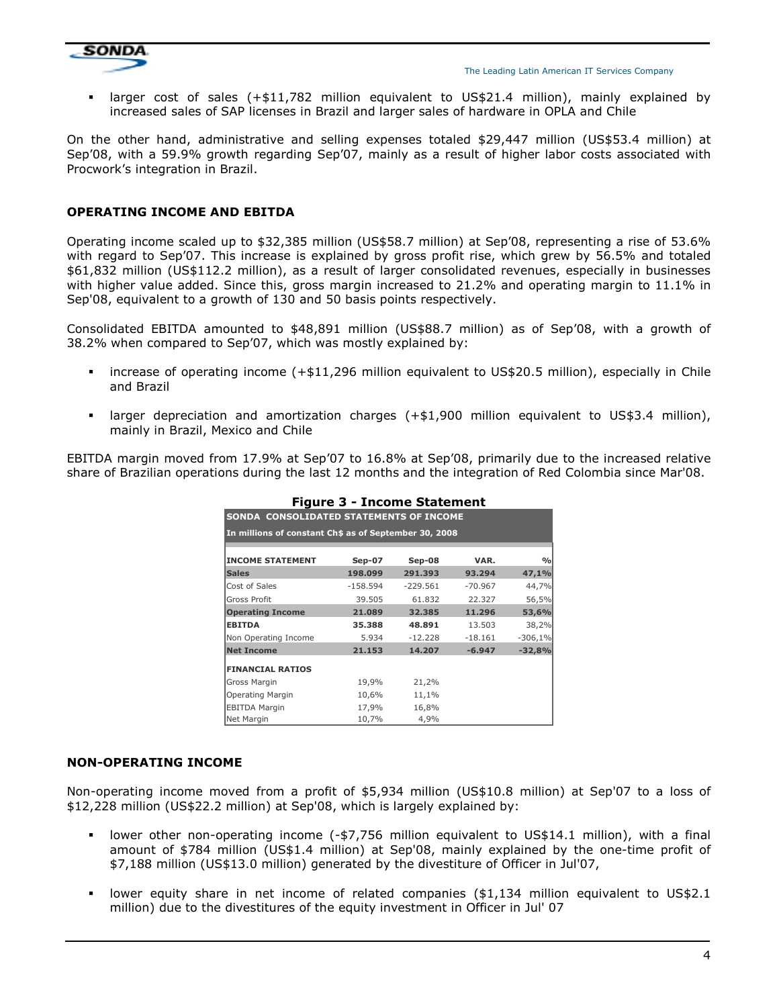

 larger cost of sales (+\$11,782 million equivalent to US\$21.4 million), mainly explained by increased sales of SAP licenses in Brazil and larger sales of hardware in OPLA and Chile

On the other hand, administrative and selling expenses totaled \$29,447 million (US\$53.4 million) at Sep'08, with a 59.9% growth regarding Sep'07, mainly as a result of higher labor costs associated with Procwork's integration in Brazil.

#### OPERATING INCOME AND EBITDA

Operating income scaled up to \$32,385 million (US\$58.7 million) at Sep'08, representing a rise of 53.6% with regard to Sep'07. This increase is explained by gross profit rise, which grew by 56.5% and totaled \$61,832 million (US\$112.2 million), as a result of larger consolidated revenues, especially in businesses with higher value added. Since this, gross margin increased to 21.2% and operating margin to 11.1% in Sep'08, equivalent to a growth of 130 and 50 basis points respectively.

Consolidated EBITDA amounted to \$48,891 million (US\$88.7 million) as of Sep'08, with a growth of 38.2% when compared to Sep'07, which was mostly explained by:

- increase of operating income (+\$11,296 million equivalent to US\$20.5 million), especially in Chile and Brazil
- larger depreciation and amortization charges (+\$1,900 million equivalent to US\$3.4 million), mainly in Brazil, Mexico and Chile

EBITDA margin moved from 17.9% at Sep'07 to 16.8% at Sep'08, primarily due to the increased relative share of Brazilian operations during the last 12 months and the integration of Red Colombia since Mar'08.

|                                                       | Figure 3 - Income Statement             |            |           |               |  |  |  |  |  |  |  |
|-------------------------------------------------------|-----------------------------------------|------------|-----------|---------------|--|--|--|--|--|--|--|
|                                                       | SONDA CONSOLIDATED STATEMENTS OF INCOME |            |           |               |  |  |  |  |  |  |  |
| In millions of constant Ch\$ as of September 30, 2008 |                                         |            |           |               |  |  |  |  |  |  |  |
|                                                       |                                         |            |           |               |  |  |  |  |  |  |  |
| <b>INCOME STATEMENT</b>                               | $Sep-07$                                | Sep-08     | VAR.      | $\frac{0}{0}$ |  |  |  |  |  |  |  |
| <b>Sales</b>                                          | 198.099                                 | 291.393    | 93.294    | 47,1%         |  |  |  |  |  |  |  |
| Cost of Sales                                         | $-158.594$                              | $-229.561$ | $-70.967$ | 44,7%         |  |  |  |  |  |  |  |
| <b>Gross Profit</b>                                   | 39.505                                  | 61.832     | 22.327    | 56,5%         |  |  |  |  |  |  |  |
| <b>Operating Income</b>                               | 21.089                                  | 32.385     | 11.296    | 53,6%         |  |  |  |  |  |  |  |
| <b>EBITDA</b>                                         | 35,388                                  | 48.891     | 13.503    | 38,2%         |  |  |  |  |  |  |  |
| Non Operating Income                                  | 5.934                                   | $-12.228$  | $-18.161$ | $-306,1%$     |  |  |  |  |  |  |  |
| <b>Net Income</b>                                     | 21.153                                  | 14.207     | $-6.947$  | $-32,8%$      |  |  |  |  |  |  |  |
| <b>FINANCIAL RATIOS</b>                               |                                         |            |           |               |  |  |  |  |  |  |  |
| Gross Margin                                          | 19,9%                                   | 21,2%      |           |               |  |  |  |  |  |  |  |
| Operating Margin                                      | 10,6%                                   | 11,1%      |           |               |  |  |  |  |  |  |  |
| <b>EBITDA Margin</b>                                  | 17,9%                                   | 16,8%      |           |               |  |  |  |  |  |  |  |
| Net Margin                                            | 10,7%                                   | 4,9%       |           |               |  |  |  |  |  |  |  |

#### Figure 3 - Income Statement

#### NON-OPERATING INCOME

Non-operating income moved from a profit of \$5,934 million (US\$10.8 million) at Sep'07 to a loss of \$12,228 million (US\$22.2 million) at Sep'08, which is largely explained by:

- lower other non-operating income (-\$7,756 million equivalent to US\$14.1 million), with a final amount of \$784 million (US\$1.4 million) at Sep'08, mainly explained by the one-time profit of \$7,188 million (US\$13.0 million) generated by the divestiture of Officer in Jul'07,
- lower equity share in net income of related companies (\$1,134 million equivalent to US\$2.1 million) due to the divestitures of the equity investment in Officer in Jul' 07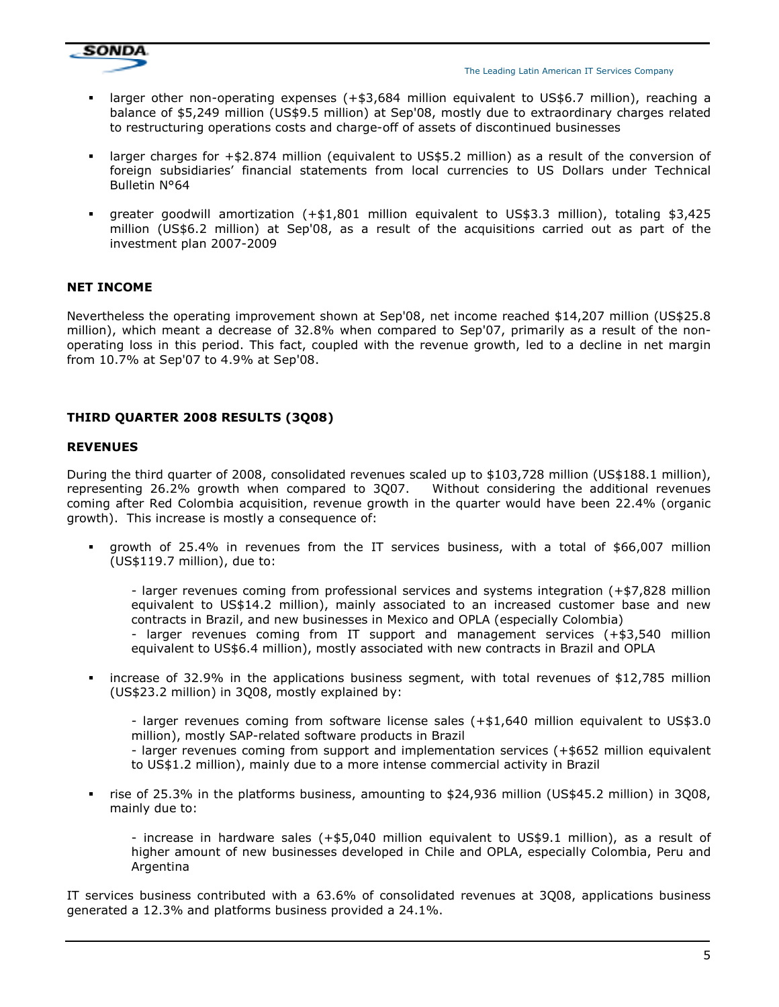

- larger other non-operating expenses (+\$3,684 million equivalent to US\$6.7 million), reaching a balance of \$5,249 million (US\$9.5 million) at Sep'08, mostly due to extraordinary charges related to restructuring operations costs and charge-off of assets of discontinued businesses
- larger charges for +\$2.874 million (equivalent to US\$5.2 million) as a result of the conversion of foreign subsidiaries' financial statements from local currencies to US Dollars under Technical Bulletin N°64
- greater goodwill amortization (+\$1,801 million equivalent to US\$3.3 million), totaling \$3,425 million (US\$6.2 million) at Sep'08, as a result of the acquisitions carried out as part of the investment plan 2007-2009

# NET INCOME

Nevertheless the operating improvement shown at Sep'08, net income reached \$14,207 million (US\$25.8 million), which meant a decrease of 32.8% when compared to Sep'07, primarily as a result of the nonoperating loss in this period. This fact, coupled with the revenue growth, led to a decline in net margin from 10.7% at Sep'07 to 4.9% at Sep'08.

# THIRD QUARTER 2008 RESULTS (3Q08)

#### REVENUES

During the third quarter of 2008, consolidated revenues scaled up to \$103,728 million (US\$188.1 million), representing 26.2% growth when compared to 3Q07. Without considering the additional revenues coming after Red Colombia acquisition, revenue growth in the quarter would have been 22.4% (organic growth). This increase is mostly a consequence of:

 growth of 25.4% in revenues from the IT services business, with a total of \$66,007 million (US\$119.7 million), due to:

- larger revenues coming from professional services and systems integration (+\$7,828 million equivalent to US\$14.2 million), mainly associated to an increased customer base and new contracts in Brazil, and new businesses in Mexico and OPLA (especially Colombia) - larger revenues coming from IT support and management services (+\$3,540 million equivalent to US\$6.4 million), mostly associated with new contracts in Brazil and OPLA

 increase of 32.9% in the applications business segment, with total revenues of \$12,785 million (US\$23.2 million) in 3Q08, mostly explained by:

- larger revenues coming from software license sales (+\$1,640 million equivalent to US\$3.0 million), mostly SAP-related software products in Brazil - larger revenues coming from support and implementation services (+\$652 million equivalent to US\$1.2 million), mainly due to a more intense commercial activity in Brazil

 rise of 25.3% in the platforms business, amounting to \$24,936 million (US\$45.2 million) in 3Q08, mainly due to:

- increase in hardware sales (+\$5,040 million equivalent to US\$9.1 million), as a result of higher amount of new businesses developed in Chile and OPLA, especially Colombia, Peru and Argentina

IT services business contributed with a 63.6% of consolidated revenues at 3Q08, applications business generated a 12.3% and platforms business provided a 24.1%.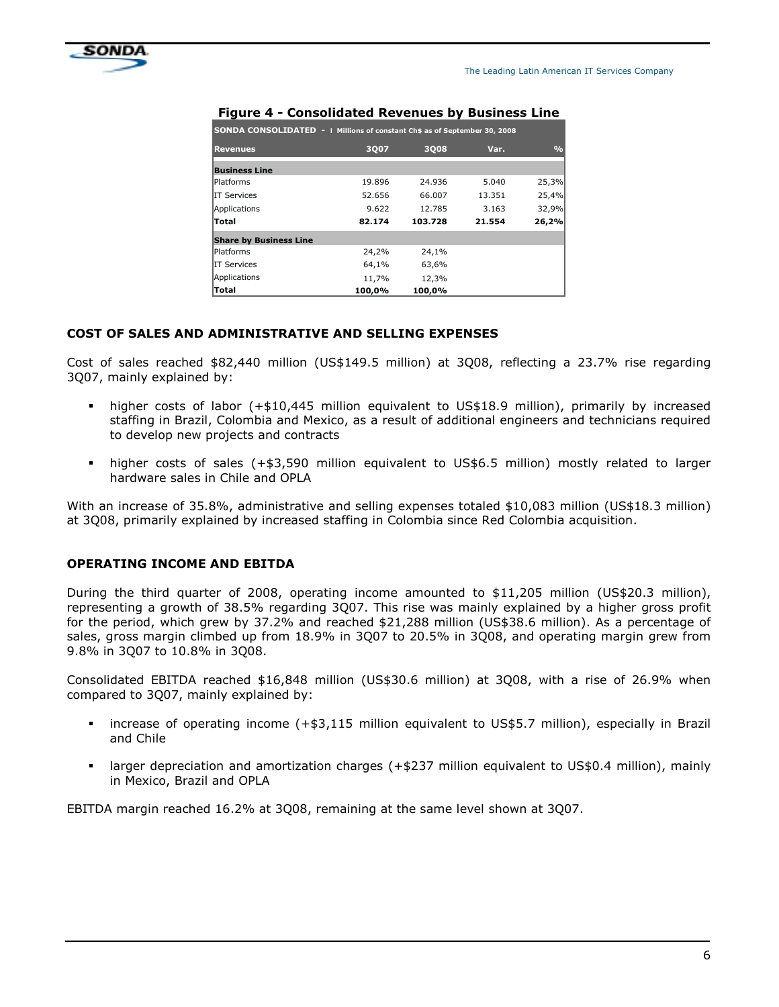

| <b>SONDA CONSOLIDATED -   Millions of constant Ch\$ as of September 30, 2008</b> |        |         |        |               |  |  |  |  |  |
|----------------------------------------------------------------------------------|--------|---------|--------|---------------|--|--|--|--|--|
| <b>Revenues</b>                                                                  | 3007   | 3008    | Var.   | $\frac{0}{0}$ |  |  |  |  |  |
| <b>Business Line</b>                                                             |        |         |        |               |  |  |  |  |  |
| <b>Platforms</b>                                                                 | 19.896 | 24.936  | 5.040  | 25,3%         |  |  |  |  |  |
| <b>IIT Services</b>                                                              | 52.656 | 66.007  | 13.351 | 25,4%         |  |  |  |  |  |
| Applications                                                                     | 9.622  | 12.785  | 3.163  | 32,9%         |  |  |  |  |  |
| <b>Total</b>                                                                     | 82.174 | 103.728 | 21.554 | 26,2%         |  |  |  |  |  |
| <b>Share by Business Line</b>                                                    |        |         |        |               |  |  |  |  |  |
| <b>Platforms</b>                                                                 | 24,2%  | 24,1%   |        |               |  |  |  |  |  |
| <b>IT Services</b>                                                               | 64,1%  | 63,6%   |        |               |  |  |  |  |  |
| Applications                                                                     | 11,7%  | 12,3%   |        |               |  |  |  |  |  |
| Total                                                                            | 100,0% | 100.0%  |        |               |  |  |  |  |  |

#### Figure 4 - Consolidated Revenues by Business Line

# COST OF SALES AND ADMINISTRATIVE AND SELLING EXPENSES

Cost of sales reached \$82,440 million (US\$149.5 million) at 3Q08, reflecting a 23.7% rise regarding 3Q07, mainly explained by:

- higher costs of labor (+\$10,445 million equivalent to US\$18.9 million), primarily by increased staffing in Brazil, Colombia and Mexico, as a result of additional engineers and technicians required to develop new projects and contracts
- higher costs of sales (+\$3,590 million equivalent to US\$6.5 million) mostly related to larger hardware sales in Chile and OPLA

With an increase of 35.8%, administrative and selling expenses totaled \$10,083 million (US\$18.3 million) at 3Q08, primarily explained by increased staffing in Colombia since Red Colombia acquisition.

#### OPERATING INCOME AND EBITDA

During the third quarter of 2008, operating income amounted to \$11,205 million (US\$20.3 million), representing a growth of 38.5% regarding 3Q07. This rise was mainly explained by a higher gross profit for the period, which grew by 37.2% and reached \$21,288 million (US\$38.6 million). As a percentage of sales, gross margin climbed up from 18.9% in 3Q07 to 20.5% in 3Q08, and operating margin grew from 9.8% in 3Q07 to 10.8% in 3Q08.

Consolidated EBITDA reached \$16,848 million (US\$30.6 million) at 3Q08, with a rise of 26.9% when compared to 3Q07, mainly explained by:

- increase of operating income (+\$3,115 million equivalent to US\$5.7 million), especially in Brazil and Chile
- larger depreciation and amortization charges (+\$237 million equivalent to US\$0.4 million), mainly in Mexico, Brazil and OPLA

EBITDA margin reached 16.2% at 3Q08, remaining at the same level shown at 3Q07.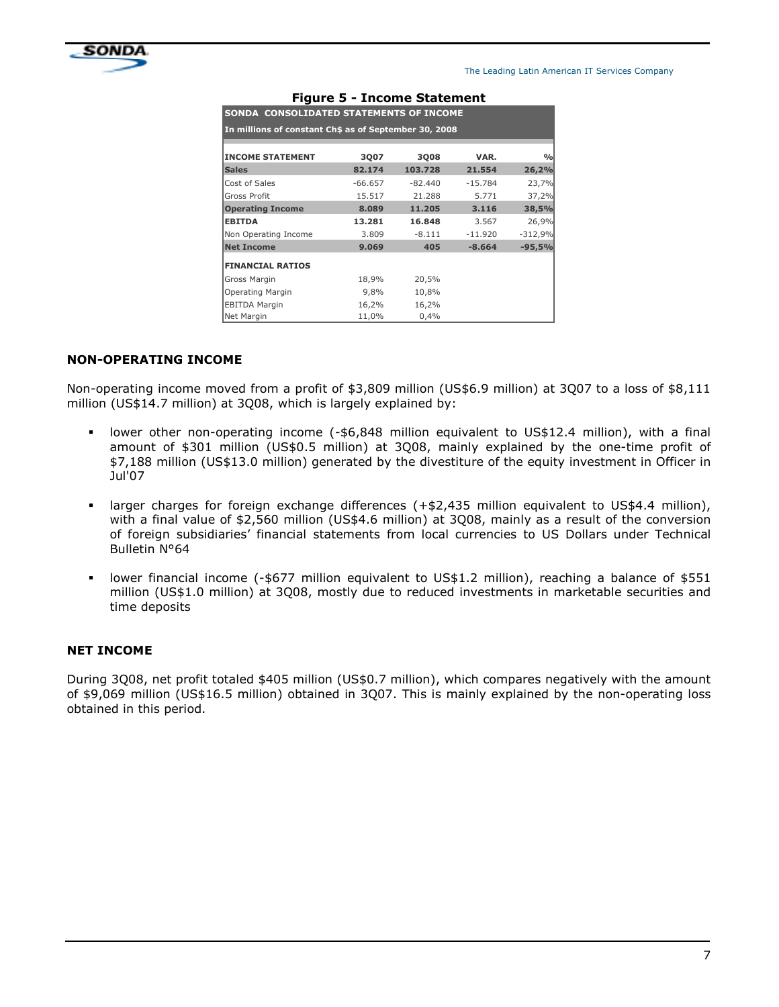

| SONDA CONSOLIDATED STATEMENTS OF INCOME               |           |           |           |               |  |  |  |  |  |  |
|-------------------------------------------------------|-----------|-----------|-----------|---------------|--|--|--|--|--|--|
| In millions of constant Ch\$ as of September 30, 2008 |           |           |           |               |  |  |  |  |  |  |
|                                                       |           |           |           |               |  |  |  |  |  |  |
| <b>INCOME STATEMENT</b>                               | 3007      | 3008      | VAR.      | $\frac{0}{0}$ |  |  |  |  |  |  |
| <b>Sales</b>                                          | 82.174    | 103.728   | 21.554    | 26,2%         |  |  |  |  |  |  |
| Cost of Sales                                         | $-66.657$ | $-82.440$ | $-15.784$ | 23,7%         |  |  |  |  |  |  |
| Gross Profit                                          | 15.517    | 21.288    | 5.771     | 37,2%         |  |  |  |  |  |  |
| <b>Operating Income</b>                               | 8.089     | 11.205    | 3.116     | 38,5%         |  |  |  |  |  |  |
| <b>EBITDA</b>                                         | 13.281    | 16.848    | 3.567     | 26,9%         |  |  |  |  |  |  |
| Non Operating Income                                  | 3.809     | $-8.111$  | $-11.920$ | $-312,9%$     |  |  |  |  |  |  |
| <b>Net Income</b>                                     | 9.069     | 405       | $-8.664$  | $-95,5%$      |  |  |  |  |  |  |
| <b>FINANCIAL RATIOS</b>                               |           |           |           |               |  |  |  |  |  |  |
| Gross Margin                                          | 18,9%     | 20,5%     |           |               |  |  |  |  |  |  |
| Operating Margin                                      | 9,8%      | 10,8%     |           |               |  |  |  |  |  |  |
| <b>EBITDA Margin</b>                                  | 16,2%     | 16,2%     |           |               |  |  |  |  |  |  |
| Net Margin                                            | 11,0%     | 0,4%      |           |               |  |  |  |  |  |  |

#### Figure 5 - Income Statement

#### NON-OPERATING INCOME

Non-operating income moved from a profit of \$3,809 million (US\$6.9 million) at 3Q07 to a loss of \$8,111 million (US\$14.7 million) at 3Q08, which is largely explained by:

- lower other non-operating income (-\$6,848 million equivalent to US\$12.4 million), with a final amount of \$301 million (US\$0.5 million) at 3Q08, mainly explained by the one-time profit of \$7,188 million (US\$13.0 million) generated by the divestiture of the equity investment in Officer in Jul'07
- larger charges for foreign exchange differences (+\$2,435 million equivalent to US\$4.4 million), with a final value of \$2,560 million (US\$4.6 million) at 3Q08, mainly as a result of the conversion of foreign subsidiaries' financial statements from local currencies to US Dollars under Technical Bulletin N°64
- lower financial income (-\$677 million equivalent to US\$1.2 million), reaching a balance of \$551 million (US\$1.0 million) at 3Q08, mostly due to reduced investments in marketable securities and time deposits

#### NET INCOME

During 3Q08, net profit totaled \$405 million (US\$0.7 million), which compares negatively with the amount of \$9,069 million (US\$16.5 million) obtained in 3Q07. This is mainly explained by the non-operating loss obtained in this period.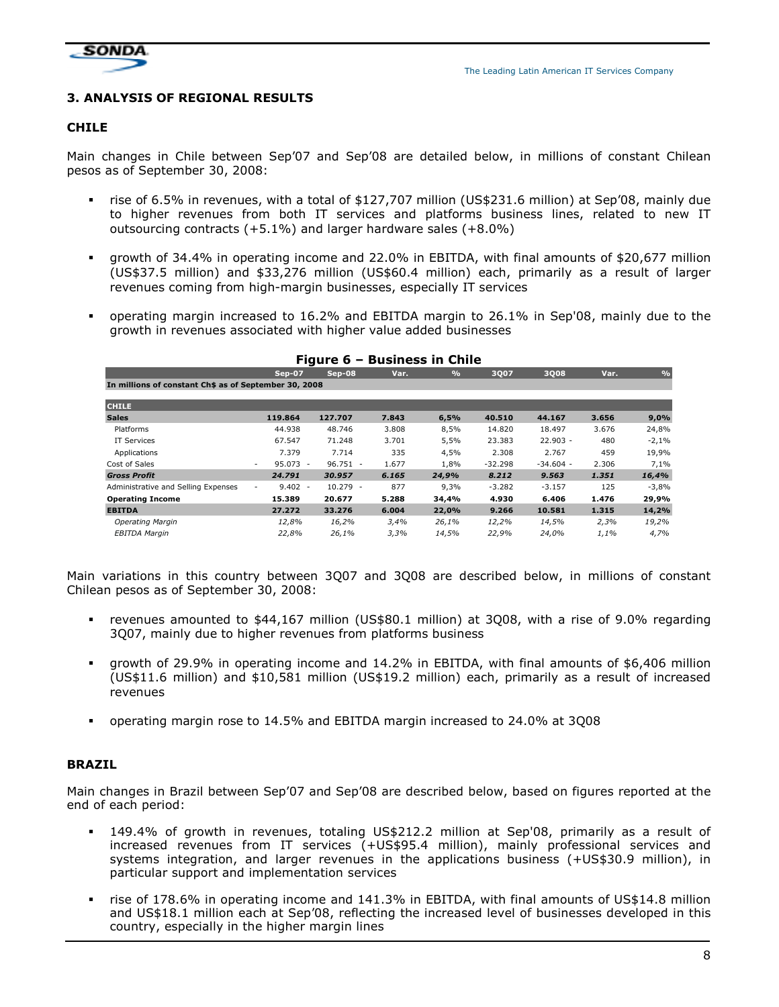

# 3. ANALYSIS OF REGIONAL RESULTS

#### CHILE

Main changes in Chile between Sep'07 and Sep'08 are detailed below, in millions of constant Chilean pesos as of September 30, 2008:

- rise of 6.5% in revenues, with a total of \$127,707 million (US\$231.6 million) at Sep'08, mainly due to higher revenues from both IT services and platforms business lines, related to new IT outsourcing contracts (+5.1%) and larger hardware sales (+8.0%)
- growth of 34.4% in operating income and 22.0% in EBITDA, with final amounts of \$20,677 million (US\$37.5 million) and \$33,276 million (US\$60.4 million) each, primarily as a result of larger revenues coming from high-margin businesses, especially IT services
- operating margin increased to 16.2% and EBITDA margin to 26.1% in Sep'08, mainly due to the growth in revenues associated with higher value added businesses

| <b>Sep-07</b>            | Sep-08     | Var.                                                                                          | $\frac{9}{6}$ | 3007      | <b>3Q08</b> | Var.               | $\frac{9}{6}$ |
|--------------------------|------------|-----------------------------------------------------------------------------------------------|---------------|-----------|-------------|--------------------|---------------|
|                          |            |                                                                                               |               |           |             |                    |               |
|                          |            |                                                                                               |               |           |             |                    |               |
| 119,864                  | 127.707    | 7.843                                                                                         | 6,5%          | 40.510    | 44.167      | 3.656              | 9,0%          |
| 44.938                   | 48.746     | 3.808                                                                                         | 8,5%          | 14.820    | 18.497      | 3.676              | 24,8%         |
| 67.547                   | 71.248     | 3.701                                                                                         | 5,5%          | 23.383    | $22.903 -$  | 480                | $-2,1%$       |
| 7.379                    | 7.714      | 335                                                                                           | 4,5%          | 2.308     | 2.767       | 459                | 19,9%         |
| $\overline{\phantom{a}}$ | $96.751 -$ | 1.677                                                                                         | 1,8%          | $-32.298$ | $-34.604 -$ | 2.306              | 7,1%          |
| 24.791                   | 30.957     | 6.165                                                                                         | 24,9%         | 8.212     | 9.563       | 1.351              | 16,4%         |
|                          | $10.279 -$ | 877                                                                                           | 9,3%          | $-3.282$  | $-3.157$    | 125                | $-3,8%$       |
| 15.389                   | 20.677     | 5.288                                                                                         | 34,4%         | 4.930     | 6.406       | 1.476              | 29,9%         |
| 27.272                   | 33.276     | 6.004                                                                                         | 22,0%         | 9.266     | 10.581      | 1.315              | 14,2%         |
| 12,8%                    | 16,2%      | 3,4%                                                                                          | 26,1%         | 12,2%     | 14,5%       | 2,3%               | 19,2%         |
| 22,8%                    | 26,1%      | 3,3%                                                                                          | 14,5%         | 22,9%     | 24,0%       | 1,1%               | 4,7%          |
|                          |            | i iyulc v<br>In millions of constant Ch\$ as of September 30, 2008<br>$95.073 -$<br>$9.402 -$ |               |           |             | DUSINGSS III CHIIG |               |

#### Figure 6 – Business in Chile

Main variations in this country between 3Q07 and 3Q08 are described below, in millions of constant Chilean pesos as of September 30, 2008:

- revenues amounted to \$44,167 million (US\$80.1 million) at 3Q08, with a rise of 9.0% regarding 3Q07, mainly due to higher revenues from platforms business
- growth of 29.9% in operating income and 14.2% in EBITDA, with final amounts of \$6,406 million (US\$11.6 million) and \$10,581 million (US\$19.2 million) each, primarily as a result of increased revenues
- operating margin rose to 14.5% and EBITDA margin increased to 24.0% at 3Q08

#### BRAZIL

Main changes in Brazil between Sep'07 and Sep'08 are described below, based on figures reported at the end of each period:

- 149.4% of growth in revenues, totaling US\$212.2 million at Sep'08, primarily as a result of increased revenues from IT services (+US\$95.4 million), mainly professional services and systems integration, and larger revenues in the applications business (+US\$30.9 million), in particular support and implementation services
- rise of 178.6% in operating income and 141.3% in EBITDA, with final amounts of US\$14.8 million and US\$18.1 million each at Sep'08, reflecting the increased level of businesses developed in this country, especially in the higher margin lines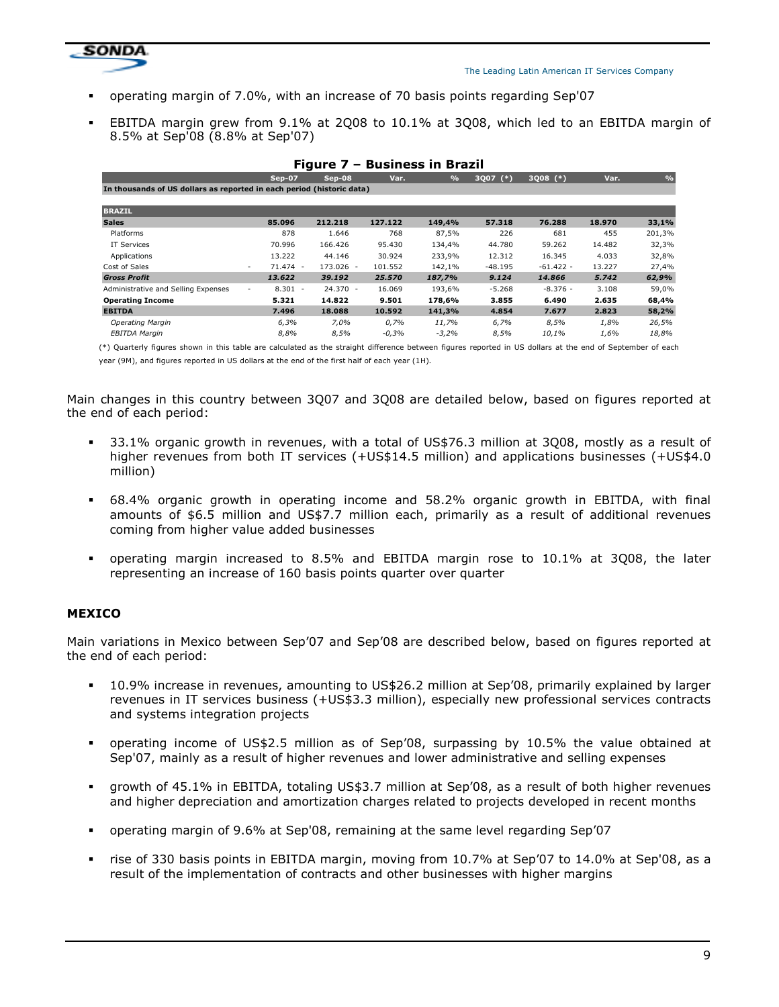

- operating margin of 7.0%, with an increase of 70 basis points regarding Sep'07
- EBITDA margin grew from 9.1% at 2Q08 to 10.1% at 3Q08, which led to an EBITDA margin of 8.5% at Sep'08 (8.8% at Sep'07)

| Figure 7 – Business in Brazil                                         |                     |            |         |               |           |             |        |               |
|-----------------------------------------------------------------------|---------------------|------------|---------|---------------|-----------|-------------|--------|---------------|
|                                                                       | Sep-07              | Sep-08     | Var.    | $\frac{9}{6}$ | 3Q07 (*)  | 3Q08 (*)    | Var.   | $\frac{1}{2}$ |
| In thousands of US dollars as reported in each period (historic data) |                     |            |         |               |           |             |        |               |
| <b>BRAZIL</b>                                                         |                     |            |         |               |           |             |        |               |
| <b>Sales</b>                                                          | 85.096              | 212,218    | 127.122 | 149,4%        | 57.318    | 76.288      | 18,970 | 33,1%         |
| Platforms                                                             | 878                 | 1.646      | 768     | 87,5%         | 226       | 681         | 455    | 201,3%        |
| IT Services                                                           | 70.996              | 166.426    | 95.430  | 134,4%        | 44.780    | 59.262      | 14.482 | 32,3%         |
| Applications                                                          | 13.222              | 44.146     | 30.924  | 233,9%        | 12.312    | 16.345      | 4.033  | 32,8%         |
| Cost of Sales                                                         | 71.474 -<br>$\sim$  | 173.026 -  | 101.552 | 142,1%        | $-48.195$ | $-61.422 -$ | 13.227 | 27,4%         |
| <b>Gross Profit</b>                                                   | 13,622              | 39.192     | 25,570  | 187,7%        | 9,124     | 14.866      | 5.742  | 62,9%         |
| Administrative and Selling Expenses                                   | $8.301 -$<br>$\sim$ | $24.370 -$ | 16.069  | 193,6%        | $-5.268$  | $-8.376 -$  | 3.108  | 59,0%         |
| <b>Operating Income</b>                                               | 5.321               | 14.822     | 9.501   | 178,6%        | 3.855     | 6.490       | 2.635  | 68,4%         |
| <b>EBITDA</b>                                                         | 7.496               | 18,088     | 10.592  | 141,3%        | 4.854     | 7.677       | 2.823  | 58,2%         |
| <b>Operating Margin</b>                                               | 6,3%                | 7,0%       | 0,7%    | 11,7%         | 6,7%      | 8,5%        | 1,8%   | 26,5%         |
| EBITDA Margin                                                         | 8,8%                | 8,5%       | $-0,3%$ | $-3,2%$       | 8,5%      | 10,1%       | 1,6%   | 18,8%         |

(\*) Quarterly figures shown in this table are calculated as the straight difference between figures reported in US dollars at the end of September of each year (9M), and figures reported in US dollars at the end of the first half of each year (1H).

Main changes in this country between 3Q07 and 3Q08 are detailed below, based on figures reported at the end of each period:

- 33.1% organic growth in revenues, with a total of US\$76.3 million at 3Q08, mostly as a result of higher revenues from both IT services (+US\$14.5 million) and applications businesses (+US\$4.0 million)
- 68.4% organic growth in operating income and 58.2% organic growth in EBITDA, with final amounts of \$6.5 million and US\$7.7 million each, primarily as a result of additional revenues coming from higher value added businesses
- operating margin increased to 8.5% and EBITDA margin rose to 10.1% at 3Q08, the later representing an increase of 160 basis points quarter over quarter

#### MEXICO

Main variations in Mexico between Sep'07 and Sep'08 are described below, based on figures reported at the end of each period:

- 10.9% increase in revenues, amounting to US\$26.2 million at Sep'08, primarily explained by larger revenues in IT services business (+US\$3.3 million), especially new professional services contracts and systems integration projects
- operating income of US\$2.5 million as of Sep'08, surpassing by 10.5% the value obtained at Sep'07, mainly as a result of higher revenues and lower administrative and selling expenses
- growth of 45.1% in EBITDA, totaling US\$3.7 million at Sep'08, as a result of both higher revenues and higher depreciation and amortization charges related to projects developed in recent months
- operating margin of 9.6% at Sep'08, remaining at the same level regarding Sep'07
- rise of 330 basis points in EBITDA margin, moving from 10.7% at Sep'07 to 14.0% at Sep'08, as a result of the implementation of contracts and other businesses with higher margins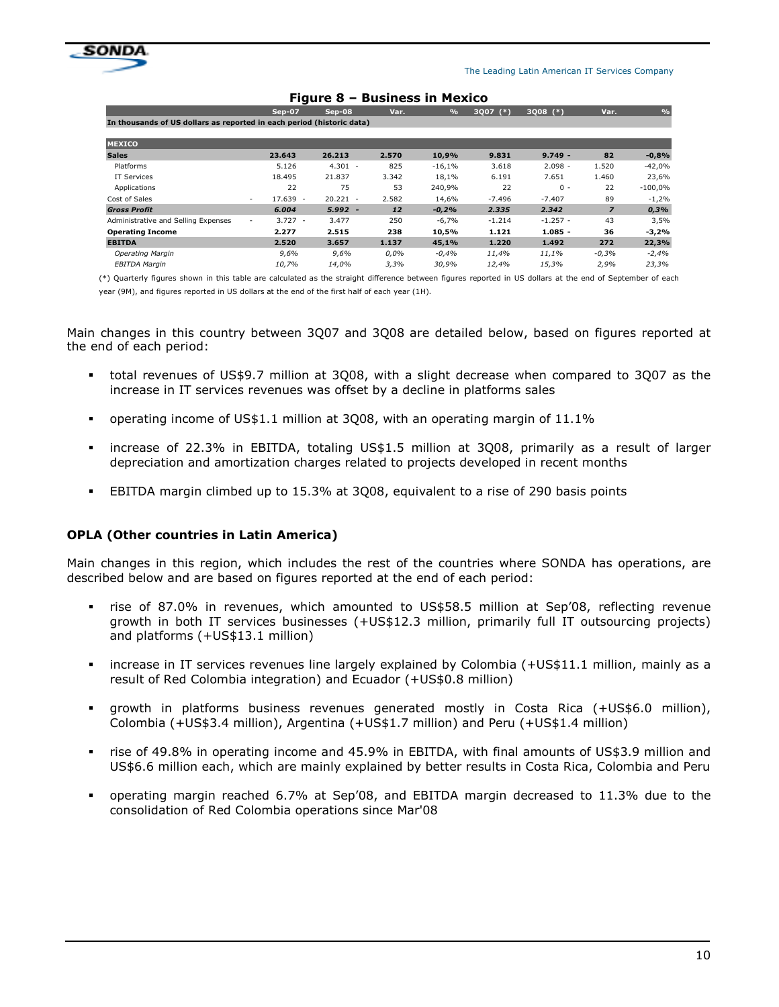

|                                                                       |                     | i iyul c                           | PUSINCSS IN MEARC |               |               |            |                |               |
|-----------------------------------------------------------------------|---------------------|------------------------------------|-------------------|---------------|---------------|------------|----------------|---------------|
|                                                                       | Sep-07              | Sep-08                             | Var.              | $\frac{9}{6}$ | 3Q07<br>$(*)$ | $3Q08$ (*) | Var.           | $\frac{1}{2}$ |
| In thousands of US dollars as reported in each period (historic data) |                     |                                    |                   |               |               |            |                |               |
| <b>MEXICO</b>                                                         |                     |                                    |                   |               |               |            |                |               |
| <b>Sales</b>                                                          | 23.643              | 26.213                             | 2.570             | 10,9%         | 9.831         | $9.749 -$  | 82             | $-0,8%$       |
| Platforms                                                             | 5.126               | $4.301 -$                          | 825               | $-16,1%$      | 3.618         | $2.098 -$  | 1.520          | $-42,0%$      |
| IT Services                                                           | 18.495              | 21.837                             | 3.342             | 18,1%         | 6.191         | 7.651      | 1.460          | 23,6%         |
| Applications                                                          | 22                  | 75                                 | 53                | 240,9%        | 22            | $0 -$      | 22             | $-100,0%$     |
| Cost of Sales                                                         | 17.639 -<br>$\sim$  | 20.221<br>$\overline{\phantom{a}}$ | 2.582             | 14.6%         | $-7.496$      | $-7.407$   | 89             | $-1,2%$       |
| <b>Gross Profit</b>                                                   | 6.004               | 5.992<br>$\overline{\phantom{a}}$  | 12                | $-0.2%$       | 2.335         | 2.342      | $\overline{z}$ | 0,3%          |
| Administrative and Selling Expenses                                   | $3.727 -$<br>$\sim$ | 3.477                              | 250               | $-6,7%$       | $-1.214$      | $-1.257 -$ | 43             | 3,5%          |
| <b>Operating Income</b>                                               | 2.277               | 2.515                              | 238               | 10,5%         | 1.121         | $1.085 -$  | 36             | $-3,2%$       |
| <b>EBITDA</b>                                                         | 2.520               | 3.657                              | 1.137             | 45,1%         | 1.220         | 1.492      | 272            | 22,3%         |
| Operating Margin                                                      | 9,6%                | 9,6%                               | $0.0\%$           | $-0.4%$       | 11,4%         | 11,1%      | $-0.3%$        | $-2,4%$       |
| <b>EBITDA Margin</b>                                                  | 10.7%               | 14,0%                              | 3,3%              | 30,9%         | 12.4%         | 15,3%      | 2,9%           | 23,3%         |

#### Figure 8 – Business in Mexico

(\*) Quarterly figures shown in this table are calculated as the straight difference between figures reported in US dollars at the end of September of each year (9M), and figures reported in US dollars at the end of the first half of each year (1H).

Main changes in this country between 3Q07 and 3Q08 are detailed below, based on figures reported at the end of each period:

- total revenues of US\$9.7 million at 3Q08, with a slight decrease when compared to 3Q07 as the increase in IT services revenues was offset by a decline in platforms sales
- operating income of US\$1.1 million at 3Q08, with an operating margin of 11.1%
- increase of 22.3% in EBITDA, totaling US\$1.5 million at 3Q08, primarily as a result of larger depreciation and amortization charges related to projects developed in recent months
- EBITDA margin climbed up to 15.3% at 3Q08, equivalent to a rise of 290 basis points

#### OPLA (Other countries in Latin America)

Main changes in this region, which includes the rest of the countries where SONDA has operations, are described below and are based on figures reported at the end of each period:

- rise of 87.0% in revenues, which amounted to US\$58.5 million at Sep'08, reflecting revenue growth in both IT services businesses (+US\$12.3 million, primarily full IT outsourcing projects) and platforms (+US\$13.1 million)
- increase in IT services revenues line largely explained by Colombia (+US\$11.1 million, mainly as a result of Red Colombia integration) and Ecuador (+US\$0.8 million)
- growth in platforms business revenues generated mostly in Costa Rica (+US\$6.0 million), Colombia (+US\$3.4 million), Argentina (+US\$1.7 million) and Peru (+US\$1.4 million)
- rise of 49.8% in operating income and 45.9% in EBITDA, with final amounts of US\$3.9 million and US\$6.6 million each, which are mainly explained by better results in Costa Rica, Colombia and Peru
- operating margin reached 6.7% at Sep'08, and EBITDA margin decreased to 11.3% due to the consolidation of Red Colombia operations since Mar'08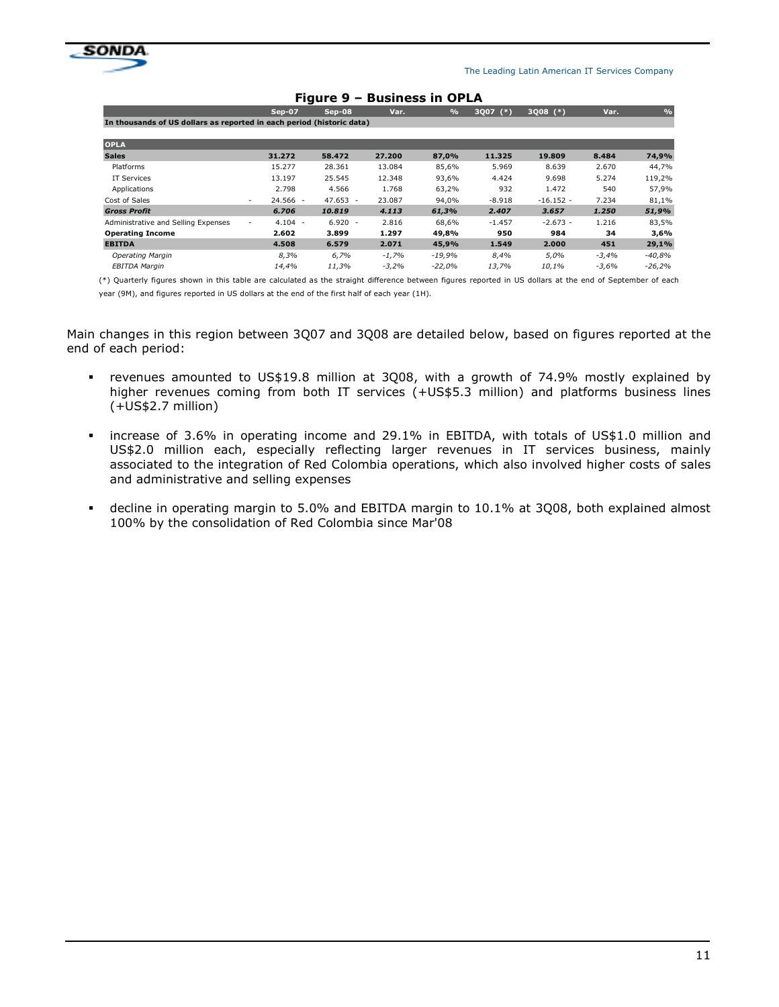

|                                                                       | . 1941 <del>-</del> 2<br>раэнсээ нг үг ба |                                    |         |               |               |             |         |               |
|-----------------------------------------------------------------------|-------------------------------------------|------------------------------------|---------|---------------|---------------|-------------|---------|---------------|
|                                                                       | Sep-07                                    | Sep-08                             | Var.    | $\frac{9}{6}$ | 3Q07<br>$(*)$ | $3Q08$ (*)  | Var.    | $\frac{9}{6}$ |
| In thousands of US dollars as reported in each period (historic data) |                                           |                                    |         |               |               |             |         |               |
| <b>OPLA</b>                                                           |                                           |                                    |         |               |               |             |         |               |
| <b>Sales</b>                                                          | 31.272                                    | 58,472                             | 27,200  | 87,0%         | 11.325        | 19,809      | 8.484   | 74,9%         |
| Platforms                                                             | 15.277                                    | 28.361                             | 13.084  | 85,6%         | 5.969         | 8.639       | 2.670   | 44,7%         |
| IT Services                                                           | 13.197                                    | 25.545                             | 12.348  | 93,6%         | 4.424         | 9.698       | 5.274   | 119,2%        |
| Applications                                                          | 2.798                                     | 4.566                              | 1.768   | 63,2%         | 932           | 1.472       | 540     | 57,9%         |
| Cost of Sales                                                         | 24.566 -<br>$\overline{\phantom{a}}$      | 47.653<br>$\overline{\phantom{a}}$ | 23.087  | 94,0%         | $-8.918$      | $-16.152 -$ | 7.234   | 81,1%         |
| <b>Gross Profit</b>                                                   | 6.706                                     | 10,819                             | 4.113   | 61,3%         | 2.407         | 3.657       | 1.250   | 51,9%         |
| Administrative and Selling Expenses                                   | $4.104 -$<br>$\overline{\phantom{a}}$     | $6.920 -$                          | 2.816   | 68,6%         | $-1.457$      | $-2.673 -$  | 1.216   | 83,5%         |
| <b>Operating Income</b>                                               | 2.602                                     | 3.899                              | 1.297   | 49,8%         | 950           | 984         | 34      | 3,6%          |
| <b>EBITDA</b>                                                         | 4.508                                     | 6.579                              | 2.071   | 45,9%         | 1.549         | 2.000       | 451     | 29,1%         |
| <b>Operating Margin</b>                                               | 8,3%                                      | 6,7%                               | $-1,7%$ | $-19,9%$      | $8.4\%$       | 5,0%        | $-3,4%$ | $-40,8%$      |
| <b>EBITDA Margin</b>                                                  | 14,4%                                     | 11,3%                              | $-3,2%$ | $-22,0%$      | 13,7%         | 10,1%       | $-3,6%$ | $-26,2%$      |

#### Figure 9 – Business in OPLA

(\*) Quarterly figures shown in this table are calculated as the straight difference between figures reported in US dollars at the end of September of each year (9M), and figures reported in US dollars at the end of the first half of each year (1H).

Main changes in this region between 3Q07 and 3Q08 are detailed below, based on figures reported at the end of each period:

- revenues amounted to US\$19.8 million at 3Q08, with a growth of 74.9% mostly explained by higher revenues coming from both IT services (+US\$5.3 million) and platforms business lines (+US\$2.7 million)
- increase of 3.6% in operating income and 29.1% in EBITDA, with totals of US\$1.0 million and US\$2.0 million each, especially reflecting larger revenues in IT services business, mainly associated to the integration of Red Colombia operations, which also involved higher costs of sales and administrative and selling expenses
- decline in operating margin to 5.0% and EBITDA margin to 10.1% at 3Q08, both explained almost 100% by the consolidation of Red Colombia since Mar'08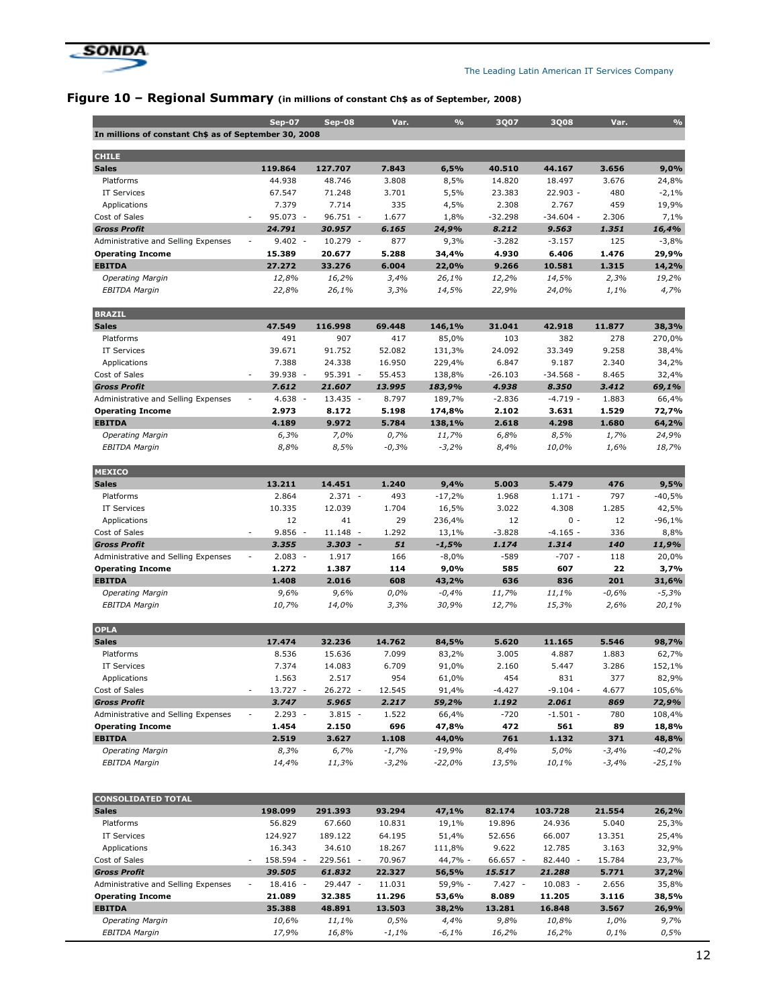

 $\overline{\phantom{a}}$ <br>In millions of constant Ch\$ as of September

Sep-07 Sep-08 Var. % 3Q07 3Q08 Var. %

# Figure 10 - Regional Summary (in millions of constant Ch\$ as of September, 2008)

| <b>CHILE</b>                        |                                                               |                  |         |          |           |             |         |          |
|-------------------------------------|---------------------------------------------------------------|------------------|---------|----------|-----------|-------------|---------|----------|
| <b>Sales</b>                        | 119.864                                                       | 127.707          | 7.843   | 6,5%     | 40.510    | 44.167      | 3.656   | 9,0%     |
| Platforms                           | 44.938                                                        | 48.746           | 3.808   | 8,5%     | 14.820    | 18.497      | 3.676   | 24,8%    |
| <b>IT Services</b>                  | 67.547                                                        | 71.248           | 3.701   | 5,5%     | 23.383    | 22.903 -    | 480     | $-2,1%$  |
| Applications                        | 7.379                                                         | 7.714            | 335     | 4,5%     | 2.308     | 2.767       | 459     | 19,9%    |
| Cost of Sales                       | 95.073 -<br>$\sim$                                            | 96.751 -         | 1.677   | 1,8%     | $-32.298$ | $-34.604 -$ | 2.306   | 7,1%     |
| <b>Gross Profit</b>                 | 24.791                                                        | 30.957           | 6.165   | 24,9%    | 8.212     | 9.563       | 1.351   | 16,4%    |
| Administrative and Selling Expenses | $9.402 -$<br>$\overline{\phantom{a}}$                         | 10.279<br>$\sim$ | 877     | 9,3%     | $-3.282$  | $-3.157$    | 125     | $-3,8%$  |
| <b>Operating Income</b>             | 15.389                                                        | 20.677           | 5.288   | 34,4%    | 4.930     | 6.406       | 1.476   | 29,9%    |
| <b>EBITDA</b>                       | 27.272                                                        | 33.276           | 6.004   | 22,0%    | 9.266     | 10.581      | 1.315   | 14,2%    |
| <b>Operating Margin</b>             | 12,8%                                                         | 16,2%            | 3,4%    | 26,1%    | 12,2%     | 14,5%       | 2,3%    | 19,2%    |
| <b>EBITDA Margin</b>                | 22,8%                                                         | 26,1%            | 3,3%    | 14,5%    | 22,9%     | 24,0%       | 1,1%    | 4,7%     |
| <b>BRAZIL</b>                       |                                                               |                  |         |          |           |             |         |          |
| <b>Sales</b>                        | 47.549                                                        | 116.998          | 69.448  | 146,1%   | 31.041    | 42.918      | 11.877  | 38,3%    |
| Platforms                           | 491                                                           | 907              | 417     | 85,0%    | 103       | 382         | 278     | 270,0%   |
| <b>IT Services</b>                  | 39.671                                                        | 91.752           | 52.082  | 131,3%   | 24.092    | 33.349      | 9.258   | 38,4%    |
| Applications                        | 7.388                                                         | 24.338           | 16.950  | 229,4%   | 6.847     | 9.187       | 2.340   | 34,2%    |
| Cost of Sales                       | 39.938<br>$\overline{\phantom{a}}$                            | 95.391 -         | 55.453  | 138,8%   | $-26.103$ | $-34.568 -$ | 8.465   | 32,4%    |
| <b>Gross Profit</b>                 | 7.612                                                         | 21.607           | 13.995  | 183,9%   | 4.938     | 8.350       | 3.412   | 69,1%    |
| Administrative and Selling Expenses | 4.638<br>$\overline{\phantom{a}}$<br>$\overline{\phantom{a}}$ | $13.435 -$       | 8.797   | 189,7%   | $-2.836$  | $-4.719 -$  | 1.883   | 66,4%    |
| <b>Operating Income</b>             | 2.973                                                         | 8.172            | 5.198   | 174,8%   | 2.102     | 3.631       | 1.529   | 72,7%    |
| <b>EBITDA</b>                       | 4.189                                                         | 9.972            | 5.784   | 138,1%   | 2.618     | 4.298       | 1.680   | 64,2%    |
| <b>Operating Margin</b>             | 6,3%                                                          | 7,0%             | 0,7%    | 11,7%    | 6,8%      | 8,5%        | 1,7%    | 24,9%    |
| <b>EBITDA Margin</b>                | 8,8%                                                          | 8,5%             | $-0,3%$ | $-3,2%$  | 8,4%      | 10,0%       | 1,6%    | 18,7%    |
| <b>MEXICO</b>                       |                                                               |                  |         |          |           |             |         |          |
| <b>Sales</b>                        | 13.211                                                        | 14.451           | 1.240   | 9,4%     | 5.003     | 5.479       | 476     | 9,5%     |
| Platforms                           | 2.864                                                         | $2.371 -$        | 493     | $-17,2%$ | 1.968     | $1.171 -$   | 797     | -40,5%   |
| <b>IT Services</b>                  | 10.335                                                        | 12.039           | 1.704   | 16,5%    | 3.022     | 4.308       | 1.285   | 42,5%    |
| Applications                        | 12                                                            | 41               | 29      | 236,4%   | 12        | $0 -$       | 12      | $-96,1%$ |
| Cost of Sales                       | 9.856<br>$\overline{\phantom{a}}$                             | 11.148<br>$\sim$ | 1.292   | 13,1%    | $-3.828$  | $-4.165 -$  | 336     | 8,8%     |
| <b>Gross Profit</b>                 | 3.355                                                         | $3.303 -$        | 51      | $-1,5%$  | 1.174     | 1.314       | 140     | 11,9%    |
| Administrative and Selling Expenses | $2.083 -$<br>$\overline{\phantom{a}}$                         | 1.917            | 166     | $-8,0%$  | -589      | $-707 -$    | 118     | 20,0%    |
| <b>Operating Income</b>             | 1.272                                                         | 1.387            | 114     | 9,0%     | 585       | 607         | 22      | 3,7%     |
| <b>EBITDA</b>                       | 1.408                                                         | 2.016            | 608     | 43,2%    | 636       | 836         | 201     | 31,6%    |
| <b>Operating Margin</b>             | 9,6%                                                          | 9,6%             | 0,0%    | $-0,4%$  | 11,7%     | 11,1%       | $-0,6%$ | $-5,3%$  |
| <b>EBITDA Margin</b>                | 10,7%                                                         | 14,0%            | 3,3%    | 30,9%    | 12,7%     | 15,3%       | 2,6%    | 20,1%    |
| <b>OPLA</b>                         |                                                               |                  |         |          |           |             |         |          |
| <b>Sales</b>                        | 17.474                                                        | 32.236           | 14.762  | 84,5%    | 5.620     | 11.165      | 5.546   | 98,7%    |
| Platforms                           | 8.536                                                         | 15.636           | 7.099   | 83,2%    | 3.005     | 4.887       | 1.883   | 62,7%    |
| <b>IT Services</b>                  | 7.374                                                         | 14.083           | 6.709   | 91,0%    | 2.160     | 5.447       | 3.286   | 152,1%   |
| Applications                        | 1.563                                                         | 2.517            | 954     | 61,0%    | 454       | 831         | 377     | 82,9%    |
| Cost of Sales                       | $13.727 -$                                                    | 26.272 -         | 12.545  | 91,4%    | $-4.427$  | $-9.104 -$  | 4.677   | 105,6%   |
| <b>Gross Profit</b>                 | 3.747                                                         | 5.965            | 2.217   | 59,2%    | 1.192     | 2.061       | 869     | 72,9%    |
| Administrative and Selling Expenses | $2.293 -$                                                     | $3.815 -$        | 1.522   | 66,4%    | $-720$    | $-1.501 -$  | 780     | 108,4%   |
| <b>Operating Income</b>             | 1.454                                                         | 2.150            | 696     | 47,8%    | 472       | 561         | 89      | 18,8%    |
| <b>EBITDA</b>                       | 2.519                                                         | 3.627            | 1.108   | 44,0%    | 761       | 1.132       | 371     | 48,8%    |
| <b>Operating Margin</b>             | 8,3%                                                          | 6,7%             | $-1,7%$ | $-19,9%$ | 8,4%      | 5,0%        | $-3,4%$ | $-40,2%$ |
| <b>EBITDA Margin</b>                | 14,4%                                                         | 11,3%            | $-3,2%$ | $-22,0%$ | 13,5%     | 10,1%       | $-3,4%$ | $-25,1%$ |
|                                     |                                                               |                  |         |          |           |             |         |          |
| <b>CONSOLIDATED TOTAL</b>           |                                                               |                  |         |          |           |             |         |          |
| <b>Sales</b>                        | 198.099                                                       | 291.393          | 93.294  | 47,1%    | 82.174    | 103.728     | 21.554  | 26,2%    |
| Platforms                           | 56.829                                                        | 67.660           | 10.831  | 19,1%    | 19.896    | 24.936      | 5.040   | 25,3%    |
| IT Services                         | 124.927                                                       | 189.122          | 64.195  | 51,4%    | 52.656    | 66.007      | 13.351  | 25,4%    |
| Applications                        | 16.343                                                        | 34.610           | 18.267  | 111,8%   | 9.622     | 12.785      | 3.163   | 32,9%    |
| Cost of Sales                       | 158.594 -                                                     | 229.561 -        | 70.967  | 44,7% -  | 66.657 -  | 82.440 -    | 15.784  | 23,7%    |
| <b>Gross Profit</b>                 | 39.505                                                        | 61.832           | 22.327  | 56,5%    | 15.517    | 21.288      | 5.771   | 37,2%    |
| Administrative and Selling Expenses | 18.416 -                                                      | 29.447 -         | 11.031  | 59,9% -  | $7.427 -$ | $10.083 -$  | 2.656   | 35,8%    |
| <b>Operating Income</b>             | 21.089                                                        | 32.385           | 11.296  | 53,6%    | 8.089     | 11.205      | 3.116   | 38,5%    |
| <b>EBITDA</b>                       | 35.388                                                        | 48.891           | 13.503  | 38,2%    | 13.281    | 16.848      | 3.567   | 26,9%    |
| <b>Operating Margin</b>             | 10,6%                                                         | 11,1%            | 0,5%    | 4,4%     | 9,8%      | 10,8%       | 1,0%    | 9,7%     |
| <b>EBITDA Margin</b>                | 17,9%                                                         | 16,8%            | $-1,1%$ | $-6,1%$  | 16,2%     | 16,2%       | 0,1%    | 0,5%     |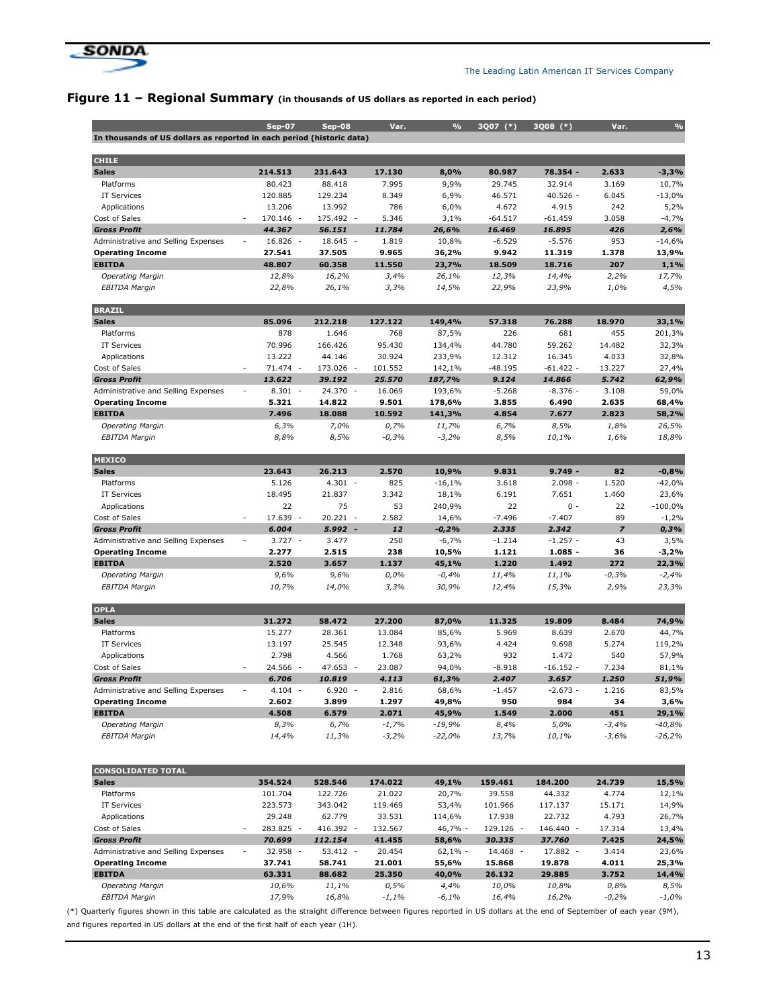

# Figure 11 - Regional Summary (in thousands of US dollars as reported in each period)

|                                                                       | <b>Sep-07</b>                          | $Sep-08$                            | Var.            | $\frac{9}{6}$   | 3007 (*)            | 3Q08 (*)             | Var.            | $\frac{0}{0}$   |
|-----------------------------------------------------------------------|----------------------------------------|-------------------------------------|-----------------|-----------------|---------------------|----------------------|-----------------|-----------------|
| In thousands of US dollars as reported in each period (historic data) |                                        |                                     |                 |                 |                     |                      |                 |                 |
|                                                                       |                                        |                                     |                 |                 |                     |                      |                 |                 |
| <b>CHILE</b>                                                          |                                        |                                     |                 |                 |                     |                      |                 |                 |
| <b>Sales</b>                                                          | 214.513                                | 231.643                             | 17.130          | 8,0%            | 80.987              | 78.354 -             | 2.633           | $-3,3%$         |
| Platforms                                                             | 80.423                                 | 88.418                              | 7.995           | 9,9%            | 29.745              | 32.914               | 3.169           | 10,7%           |
| <b>IT Services</b>                                                    | 120.885                                | 129.234                             | 8.349           | 6,9%            | 46.571              | $40.526 -$           | 6.045           | $-13,0%$        |
| Applications                                                          | 13.206                                 | 13.992                              | 786             | 6,0%            | 4.672               | 4.915                | 242             | 5,2%            |
| Cost of Sales<br><b>Gross Profit</b>                                  | 170.146 -<br>44.367                    | 175.492 -<br>56.151                 | 5.346<br>11.784 | 3,1%<br>26,6%   | $-64.517$<br>16.469 | $-61.459$<br>16.895  | 3.058<br>426    | $-4,7%$<br>2,6% |
| Administrative and Selling Expenses                                   | $16.826 -$<br>$\overline{\phantom{a}}$ | $18.645 -$                          | 1.819           | 10,8%           | $-6.529$            | $-5.576$             | 953             | $-14,6%$        |
| <b>Operating Income</b>                                               | 27.541                                 | 37.505                              | 9.965           | 36,2%           | 9.942               | 11.319               | 1.378           | 13,9%           |
| <b>EBITDA</b>                                                         | 48.807                                 | 60.358                              | 11.550          | 23,7%           | 18.509              | 18.716               | 207             | 1,1%            |
| <b>Operating Margin</b>                                               | 12,8%                                  | 16,2%                               | 3,4%            | 26,1%           | 12,3%               | 14,4%                | 2,2%            | 17,7%           |
| <b>EBITDA Margin</b>                                                  | 22,8%                                  | 26,1%                               | 3,3%            | 14,5%           | 22,9%               | 23,9%                | 1,0%            | 4,5%            |
|                                                                       |                                        |                                     |                 |                 |                     |                      |                 |                 |
| <b>BRAZIL</b>                                                         |                                        |                                     |                 |                 |                     |                      |                 |                 |
| <b>Sales</b>                                                          | 85.096                                 | 212.218                             | 127.122         | 149,4%          | 57.318              | 76.288               | 18.970          | 33,1%           |
| Platforms                                                             | 878                                    | 1.646                               | 768             | 87,5%           | 226                 | 681                  | 455             | 201,3%          |
| <b>IT Services</b>                                                    | 70.996                                 | 166.426                             | 95.430          | 134,4%          | 44.780              | 59.262               | 14.482          | 32,3%           |
| Applications                                                          | 13.222                                 | 44.146                              | 30.924          | 233,9%          | 12.312              | 16.345               | 4.033           | 32,8%           |
| Cost of Sales                                                         | 71.474 -                               | 173.026<br>$\overline{\phantom{a}}$ | 101.552         | 142,1%          | $-48.195$           | $-61.422 -$          | 13.227          | 27,4%           |
| <b>Gross Profit</b>                                                   | 13.622                                 | 39.192                              | 25.570          | 187,7%          | 9.124               | 14.866               | 5.742           | 62,9%           |
| Administrative and Selling Expenses                                   | $8.301 -$                              | 24.370 -                            | 16.069          | 193,6%          | $-5.268$            | $-8.376 -$           | 3.108           | 59,0%           |
| <b>Operating Income</b>                                               | 5.321                                  | 14.822                              | 9.501           | 178,6%          | 3.855               | 6.490                | 2.635           | 68,4%           |
| <b>EBITDA</b>                                                         | 7.496                                  | 18.088                              | 10.592          | 141,3%          | 4.854               | 7.677                | 2.823           | 58,2%           |
| <b>Operating Margin</b>                                               | 6,3%                                   | 7,0%                                | 0,7%            | 11,7%           | 6,7%                | 8,5%                 | 1,8%            | 26,5%           |
| <b>EBITDA Margin</b>                                                  | 8,8%                                   | 8,5%                                | $-0,3%$         | $-3,2%$         | 8,5%                | 10,1%                | 1,6%            | 18,8%           |
| <b>MEXICO</b>                                                         |                                        |                                     |                 |                 |                     |                      |                 |                 |
| <b>Sales</b>                                                          | 23.643                                 | 26.213                              | 2.570           | 10,9%           | 9.831               | $9.749 -$            | 82              | $-0,8%$         |
| Platforms                                                             | 5.126                                  | $4.301 -$                           | 825             | $-16,1%$        | 3.618               | $2.098 -$            | 1.520           | $-42,0%$        |
| <b>IT Services</b>                                                    | 18.495                                 | 21.837                              | 3.342           | 18,1%           | 6.191               | 7.651                | 1.460           | 23,6%           |
| Applications                                                          | 22                                     | 75                                  | 53              | 240,9%          | 22                  | $0 -$                | 22              | $-100,0%$       |
| Cost of Sales                                                         | 17.639 -<br>٠                          | $20.221 -$                          | 2.582           | 14,6%           | $-7.496$            | $-7.407$             | 89              | $-1,2%$         |
| <b>Gross Profit</b>                                                   | 6.004                                  | $5.992 -$                           | 12              | $-0,2%$         | 2.335               | 2.342                | $\overline{z}$  | 0,3%            |
| Administrative and Selling Expenses                                   | $3.727 -$<br>$\overline{a}$            | 3.477                               | 250             | $-6,7%$         | $-1.214$            | $-1.257 -$           | 43              | 3,5%            |
| <b>Operating Income</b>                                               | 2.277                                  | 2.515                               | 238             | 10,5%           | 1.121               | $1.085 -$            | 36              | $-3,2%$         |
| <b>EBITDA</b>                                                         | 2.520                                  | 3.657                               | 1.137           | 45,1%           | 1.220               | 1.492                | 272             | 22,3%           |
| <b>Operating Margin</b>                                               | 9,6%                                   | 9,6%                                | 0,0%            | $-0,4%$         | 11,4%               | 11,1%                | $-0,3%$         | $-2,4%$         |
| <b>EBITDA Margin</b>                                                  | 10,7%                                  | 14,0%                               | 3,3%            | 30,9%           | 12,4%               | 15,3%                | 2,9%            | 23,3%           |
|                                                                       |                                        |                                     |                 |                 |                     |                      |                 |                 |
| <b>OPLA</b>                                                           |                                        |                                     |                 |                 |                     |                      |                 |                 |
| <b>Sales</b>                                                          | 31.272                                 | 58.472                              | 27.200          | 87,0%           | 11.325              | 19.809               | 8.484           | 74,9%           |
| Platforms                                                             | 15.277                                 | 28.361                              | 13.084          | 85,6%           | 5.969               | 8.639                | 2.670           | 44,7%           |
| <b>IT Services</b>                                                    | 13.197                                 | 25.545                              | 12.348          | 93,6%           | 4.424               | 9.698                | 5.274           | 119,2%          |
| Applications                                                          | 2.798                                  | 4.566                               | 1.768<br>23.087 | 63,2%           | 932                 | 1.472                | 540             | 57,9%           |
| Cost of Sales<br><b>Gross Profit</b>                                  | 24.566 -<br>6.706                      | 47.653 -<br>10.819                  | 4.113           | 94,0%<br>61,3%  | $-8.918$<br>2.407   | $-16.152 -$<br>3.657 | 7.234<br>1.250  | 81,1%<br>51,9%  |
| Administrative and Selling Expenses                                   | 4.104<br>$\overline{\phantom{a}}$      | $6.920 -$                           | 2.816           |                 | -1.457              | -2.673 -             | 1.216           | 83,5%           |
| <b>Operating Income</b>                                               | 2.602                                  | 3.899                               | 1.297           | 68,6%<br>49,8%  | 950                 | 984                  | 34              | 3,6%            |
| <b>EBITDA</b>                                                         | 4.508                                  | 6.579                               | 2.071           | 45,9%           | 1.549               | 2.000                | 451             | 29,1%           |
| <b>Operating Margin</b>                                               | 8,3%                                   | 6,7%                                | $-1,7%$         | $-19,9%$        | 8,4%                | 5,0%                 | $-3,4%$         | $-40,8%$        |
| <b>EBITDA Margin</b>                                                  | 14,4%                                  | 11,3%                               | $-3,2%$         | $-22,0%$        | 13,7%               | 10,1%                | $-3,6%$         | $-26,2%$        |
|                                                                       |                                        |                                     |                 |                 |                     |                      |                 |                 |
|                                                                       |                                        |                                     |                 |                 |                     |                      |                 |                 |
| <b>CONSOLIDATED TOTAL</b>                                             |                                        |                                     |                 |                 |                     |                      |                 |                 |
| <b>Sales</b>                                                          | 354.524                                | 528.546                             | 174.022         | 49,1%           | 159.461             | 184.200              | 24.739          | 15,5%           |
| Platforms                                                             | 101.704                                | 122.726                             | 21.022          | 20,7%           | 39.558              | 44.332               | 4.774           | 12,1%           |
| <b>IT Services</b>                                                    | 223.573                                | 343.042                             | 119.469         | 53,4%           | 101.966             | 117.137              | 15.171          | 14,9%           |
| Applications                                                          | 29.248                                 | 62.779                              | 33.531          | 114,6%          | 17.938              | 22.732               | 4.793           | 26,7%           |
| Cost of Sales                                                         | 283.825 -                              | 416.392 -                           | 132.567         | 46,7% -         | 129.126 -           | 146.440 -            | 17.314          | 13,4%           |
| <b>Gross Profit</b>                                                   | 70.699                                 | 112.154                             | 41.455          | 58,6%           | 30.335              | 37.760               | 7.425           | 24,5%           |
| Administrative and Selling Expenses                                   | 32.958 -<br>$\overline{\phantom{a}}$   | $53.412 -$                          | 20.454          | $62,1% -$       | 14.468 -            | 17.882 -             | 3.414           | 23,6%           |
| <b>Operating Income</b>                                               | 37.741                                 | 58.741                              | 21.001          | 55,6%           | 15.868              | 19.878               | 4.011           | 25,3%           |
| <b>EBITDA</b>                                                         | 63.331                                 | 88.682                              | 25.350          | 40,0%           | 26.132              | 29.885               | 3.752           | 14,4%           |
| <b>Operating Margin</b><br><b>EBITDA Margin</b>                       | 10,6%<br>17,9%                         | 11,1%<br>16,8%                      | 0,5%<br>$-1,1%$ | 4,4%<br>$-6,1%$ | 10,0%<br>16,4%      | 10,8%<br>16,2%       | 0,8%<br>$-0,2%$ | 8,5%<br>$-1,0%$ |
|                                                                       |                                        |                                     |                 |                 |                     |                      |                 |                 |

(\*) Quarterly figures shown in this table are calculated as the straight difference between figures reported in US dollars at the end of September of each year (9M), and figures reported in US dollars at the end of the first half of each year (1H).